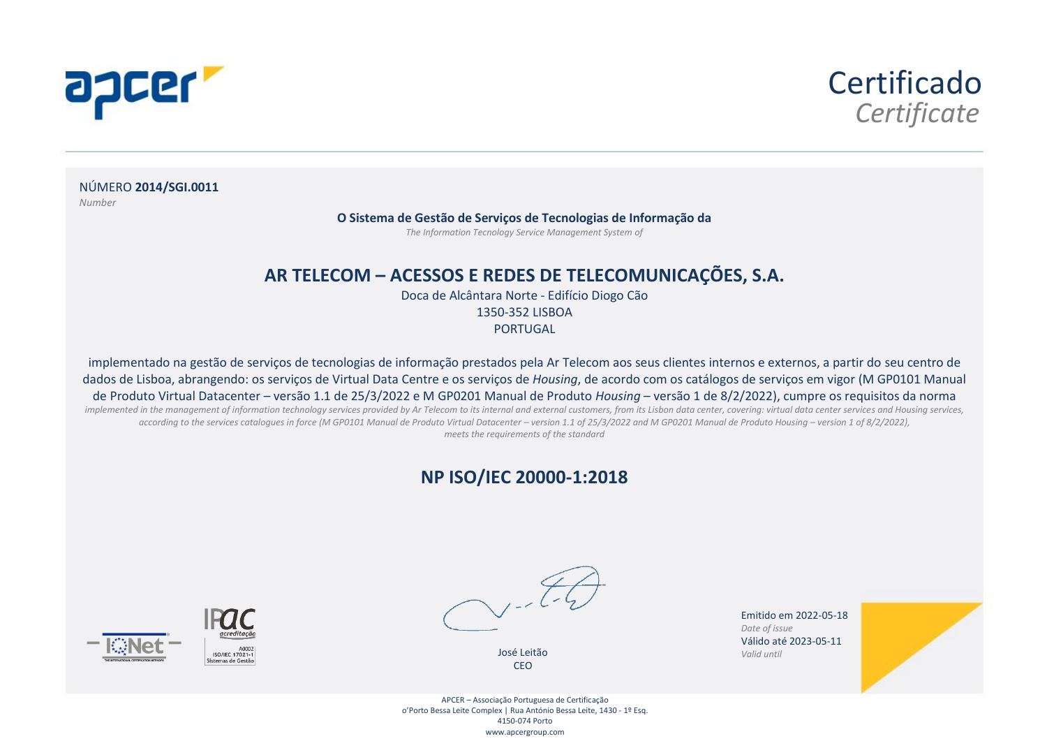



NÚMERO **2014/SGI.0011** *Number*

**O Sistema de Gestão de Serviços de Tecnologias de Informação da**

*The Information Tecnology Service Management System of*

#### **AR TELECOM – ACESSOS E REDES DE TELECOMUNICAÇÕES, S.A.**

Doca de Alcântara Norte - Edifício Diogo Cão 1350-352 LISBOA **PORTUGAL** 

implementado na gestão de serviços de tecnologias de informação prestados pela Ar Telecom aos seus clientes internos e externos, a partir do seu centro de dados de Lisboa, abrangendo: os serviços de Virtual Data Centre e os serviços de *Housing*, de acordo com os catálogos de serviços em vigor (M GP0101 Manual de Produto Virtual Datacenter – versão 1.1 de 25/3/2022 e M GP0201 Manual de Produto *Housing* – versão 1 de 8/2/2022), cumpre os requisitos da norma implemented in the management of information technology services provided by Ar Telecom to its internal and external customers, from its Lisbon data center, covering: virtual data center services and Housing services, according to the services catalogues in force (M GP0101 Manual de Produto Virtual Datacenter – version 1.1 of 25/3/2022 and M GP0201 Manual de Produto Housing – version 1 of 8/2/2022), *meets the requirements of the standard*

#### **NP ISO/IEC 20000-1:2018**



José Leitão CEO



Emitido em 2022-05-18 *Valid until Date of issue* Válido até 2023-05-11 *Valid until*



APCER – Associação Portuguesa de Certificação o'Porto Bessa Leite Complex | Rua António Bessa Leite, 1430 - 1º Esq. 4150-074 Porto www.apcergroup.com